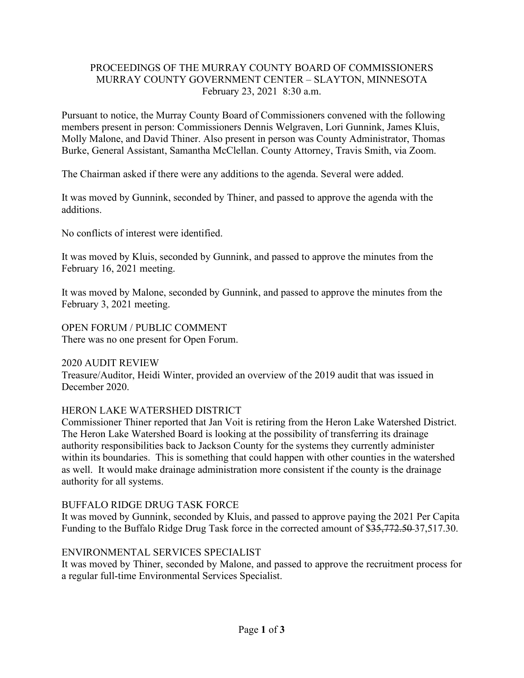## PROCEEDINGS OF THE MURRAY COUNTY BOARD OF COMMISSIONERS MURRAY COUNTY GOVERNMENT CENTER – SLAYTON, MINNESOTA February 23, 2021 8:30 a.m.

Pursuant to notice, the Murray County Board of Commissioners convened with the following members present in person: Commissioners Dennis Welgraven, Lori Gunnink, James Kluis, Molly Malone, and David Thiner. Also present in person was County Administrator, Thomas Burke, General Assistant, Samantha McClellan. County Attorney, Travis Smith, via Zoom.

The Chairman asked if there were any additions to the agenda. Several were added.

It was moved by Gunnink, seconded by Thiner, and passed to approve the agenda with the additions.

No conflicts of interest were identified.

It was moved by Kluis, seconded by Gunnink, and passed to approve the minutes from the February 16, 2021 meeting.

It was moved by Malone, seconded by Gunnink, and passed to approve the minutes from the February 3, 2021 meeting.

OPEN FORUM / PUBLIC COMMENT There was no one present for Open Forum.

2020 AUDIT REVIEW Treasure/Auditor, Heidi Winter, provided an overview of the 2019 audit that was issued in December 2020.

# HERON LAKE WATERSHED DISTRICT

Commissioner Thiner reported that Jan Voit is retiring from the Heron Lake Watershed District. The Heron Lake Watershed Board is looking at the possibility of transferring its drainage authority responsibilities back to Jackson County for the systems they currently administer within its boundaries. This is something that could happen with other counties in the watershed as well. It would make drainage administration more consistent if the county is the drainage authority for all systems.

# BUFFALO RIDGE DRUG TASK FORCE

It was moved by Gunnink, seconded by Kluis, and passed to approve paying the 2021 Per Capita Funding to the Buffalo Ridge Drug Task force in the corrected amount of \$35,772.50 37,517.30.

# ENVIRONMENTAL SERVICES SPECIALIST

It was moved by Thiner, seconded by Malone, and passed to approve the recruitment process for a regular full-time Environmental Services Specialist.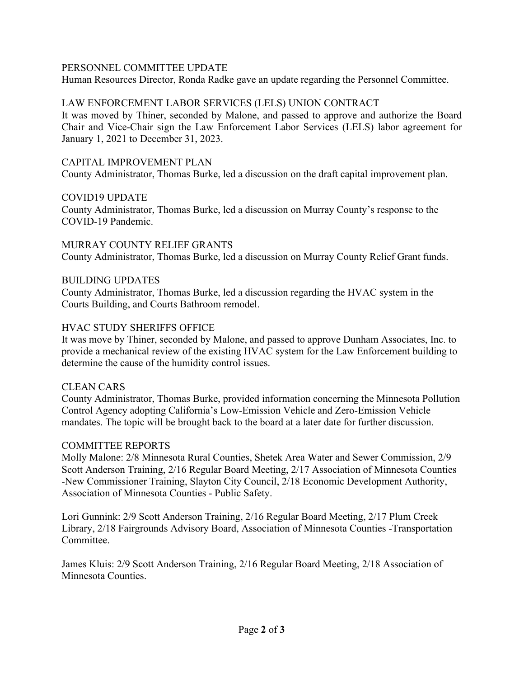### PERSONNEL COMMITTEE UPDATE

Human Resources Director, Ronda Radke gave an update regarding the Personnel Committee.

#### LAW ENFORCEMENT LABOR SERVICES (LELS) UNION CONTRACT

It was moved by Thiner, seconded by Malone, and passed to approve and authorize the Board Chair and Vice-Chair sign the Law Enforcement Labor Services (LELS) labor agreement for January 1, 2021 to December 31, 2023.

#### CAPITAL IMPROVEMENT PLAN

County Administrator, Thomas Burke, led a discussion on the draft capital improvement plan.

#### COVID19 UPDATE

County Administrator, Thomas Burke, led a discussion on Murray County's response to the COVID-19 Pandemic.

### MURRAY COUNTY RELIEF GRANTS County Administrator, Thomas Burke, led a discussion on Murray County Relief Grant funds.

#### BUILDING UPDATES

County Administrator, Thomas Burke, led a discussion regarding the HVAC system in the Courts Building, and Courts Bathroom remodel.

#### HVAC STUDY SHERIFFS OFFICE

It was move by Thiner, seconded by Malone, and passed to approve Dunham Associates, Inc. to provide a mechanical review of the existing HVAC system for the Law Enforcement building to determine the cause of the humidity control issues.

#### CLEAN CARS

County Administrator, Thomas Burke, provided information concerning the Minnesota Pollution Control Agency adopting California's Low-Emission Vehicle and Zero-Emission Vehicle mandates. The topic will be brought back to the board at a later date for further discussion.

#### COMMITTEE REPORTS

Molly Malone: 2/8 Minnesota Rural Counties, Shetek Area Water and Sewer Commission, 2/9 Scott Anderson Training, 2/16 Regular Board Meeting, 2/17 Association of Minnesota Counties -New Commissioner Training, Slayton City Council, 2/18 Economic Development Authority, Association of Minnesota Counties - Public Safety.

Lori Gunnink: 2/9 Scott Anderson Training, 2/16 Regular Board Meeting, 2/17 Plum Creek Library, 2/18 Fairgrounds Advisory Board, Association of Minnesota Counties -Transportation Committee.

James Kluis: 2/9 Scott Anderson Training, 2/16 Regular Board Meeting, 2/18 Association of Minnesota Counties.